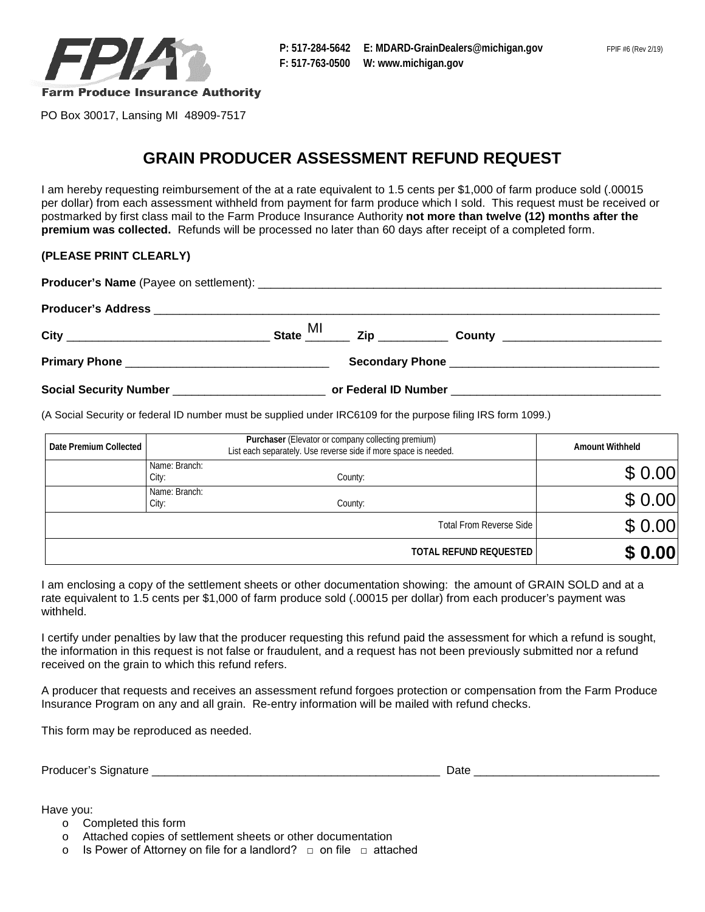

PO Box 30017, Lansing MI 48909-7517

## **GRAIN PRODUCER ASSESSMENT REFUND REQUEST**

I am hereby requesting reimbursement of the at a rate equivalent to 1.5 cents per \$1,000 of farm produce sold (.00015 per dollar) from each assessment withheld from payment for farm produce which I sold. This request must be received or postmarked by first class mail to the Farm Produce Insurance Authority **not more than twelve (12) months after the premium was collected.** Refunds will be processed no later than 60 days after receipt of a completed form.

## **(PLEASE PRINT CLEARLY)**

| State MI |  |  |  |
|----------|--|--|--|
|          |  |  |  |
|          |  |  |  |

(A Social Security or federal ID number must be supplied under IRC6109 for the purpose filing IRS form 1099.)

| Date Premium Collected |                        | <b>Amount Withheld</b>         |        |
|------------------------|------------------------|--------------------------------|--------|
|                        | Name: Branch:<br>City: | County:                        | \$0.00 |
|                        | Name: Branch:<br>City: | County:                        | \$0.00 |
|                        |                        | <b>Total From Reverse Side</b> | \$0.00 |
|                        |                        | TOTAL REFUND REQUESTED         | \$0.00 |

I am enclosing a copy of the settlement sheets or other documentation showing: the amount of GRAIN SOLD and at a rate equivalent to 1.5 cents per \$1,000 of farm produce sold (.00015 per dollar) from each producer's payment was withheld.

I certify under penalties by law that the producer requesting this refund paid the assessment for which a refund is sought, the information in this request is not false or fraudulent, and a request has not been previously submitted nor a refund received on the grain to which this refund refers.

 Insurance Program on any and all grain. Re-entry information will be mailed with refund checks. A producer that requests and receives an assessment refund forgoes protection or compensation from the Farm Produce

This form may be reproduced as needed.

Producer's Signature \_\_\_\_\_\_\_\_\_\_\_\_\_\_\_\_\_\_\_\_\_\_\_\_\_\_\_\_\_\_\_\_\_\_\_\_\_\_\_\_\_\_\_\_\_ Date \_\_\_\_\_\_\_\_\_\_\_\_\_\_\_\_\_\_\_\_\_\_\_\_\_\_\_\_\_

Have you:

o Completed this form

o Attached copies of settlement sheets or other documentation

o  $\;$  Is Power of Attorney on file for a landlord?  $\; \square \;$  on file  $\; \square \;$  attached